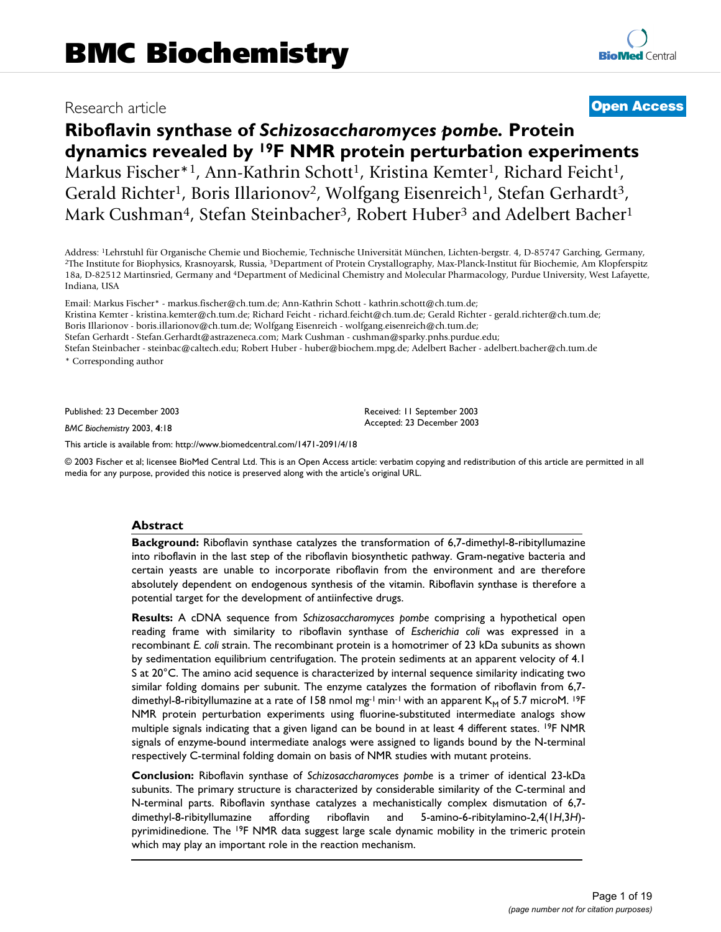# Research article **[Open Access](http://www.biomedcentral.com/info/about/charter/)**

# **Riboflavin synthase of** *Schizosaccharomyces pombe.* **Protein dynamics revealed by 19F NMR protein perturbation experiments** Markus Fischer\*<sup>1</sup>, Ann-Kathrin Schott<sup>1</sup>, Kristina Kemter<sup>1</sup>, Richard Feicht<sup>1</sup>, Gerald Richter<sup>1</sup>, Boris Illarionov<sup>2</sup>, Wolfgang Eisenreich<sup>1</sup>, Stefan Gerhardt<sup>3</sup>, Mark Cushman<sup>4</sup>, Stefan Steinbacher<sup>3</sup>, Robert Huber<sup>3</sup> and Adelbert Bacher<sup>1</sup>

Address: <sup>1</sup>Lehrstuhl für Organische Chemie und Biochemie, Technische Universität München, Lichten-bergstr. 4, D-85747 Garching, Germany, <sup>2</sup>The Institute for Biophysics, Krasnoyarsk, Russia, <sup>3</sup>Department of Protein Cryst 18a, D-82512 Martinsried, Germany and 4Department of Medicinal Chemistry and Molecular Pharmacology, Purdue University, West Lafayette, Indiana, USA

Email: Markus Fischer\* - markus.fischer@ch.tum.de; Ann-Kathrin Schott - kathrin.schott@ch.tum.de; Kristina Kemter - kristina.kemter@ch.tum.de; Richard Feicht - richard.feicht@ch.tum.de; Gerald Richter - gerald.richter@ch.tum.de; Boris Illarionov - boris.illarionov@ch.tum.de; Wolfgang Eisenreich - wolfgang.eisenreich@ch.tum.de; Stefan Gerhardt - Stefan.Gerhardt@astrazeneca.com; Mark Cushman - cushman@sparky.pnhs.purdue.edu; Stefan Steinbacher - steinbac@caltech.edu; Robert Huber - huber@biochem.mpg.de; Adelbert Bacher - adelbert.bacher@ch.tum.de \* Corresponding author

Published: 23 December 2003

*BMC Biochemistry* 2003, **4**:18

[This article is available from: http://www.biomedcentral.com/1471-2091/4/18](http://www.biomedcentral.com/1471-2091/4/18)

© 2003 Fischer et al; licensee BioMed Central Ltd. This is an Open Access article: verbatim copying and redistribution of this article are permitted in all media for any purpose, provided this notice is preserved along with the article's original URL.

Received: 11 September 2003 Accepted: 23 December 2003

#### **Abstract**

**Background:** Riboflavin synthase catalyzes the transformation of 6,7-dimethyl-8-ribityllumazine into riboflavin in the last step of the riboflavin biosynthetic pathway. Gram-negative bacteria and certain yeasts are unable to incorporate riboflavin from the environment and are therefore absolutely dependent on endogenous synthesis of the vitamin. Riboflavin synthase is therefore a potential target for the development of antiinfective drugs.

**Results:** A cDNA sequence from *Schizosaccharomyces pombe* comprising a hypothetical open reading frame with similarity to riboflavin synthase of *Escherichia coli* was expressed in a recombinant *E. coli* strain. The recombinant protein is a homotrimer of 23 kDa subunits as shown by sedimentation equilibrium centrifugation. The protein sediments at an apparent velocity of 4.1 S at 20°C. The amino acid sequence is characterized by internal sequence similarity indicating two similar folding domains per subunit. The enzyme catalyzes the formation of riboflavin from 6,7 dimethyl-8-ribityllumazine at a rate of 158 nmol mg<sup>-1</sup> min<sup>-1</sup> with an apparent  $K_M$  of 5.7 microM. <sup>19</sup>F NMR protein perturbation experiments using fluorine-substituted intermediate analogs show multiple signals indicating that a given ligand can be bound in at least 4 different states. 19F NMR signals of enzyme-bound intermediate analogs were assigned to ligands bound by the N-terminal respectively C-terminal folding domain on basis of NMR studies with mutant proteins.

**Conclusion:** Riboflavin synthase of *Schizosaccharomyces pombe* is a trimer of identical 23-kDa subunits. The primary structure is characterized by considerable similarity of the C-terminal and N-terminal parts. Riboflavin synthase catalyzes a mechanistically complex dismutation of 6,7 dimethyl-8-ribityllumazine affording riboflavin and 5-amino-6-ribitylamino-2,4(1*H*,3*H*) pyrimidinedione. The <sup>19</sup>F NMR data suggest large scale dynamic mobility in the trimeric protein which may play an important role in the reaction mechanism.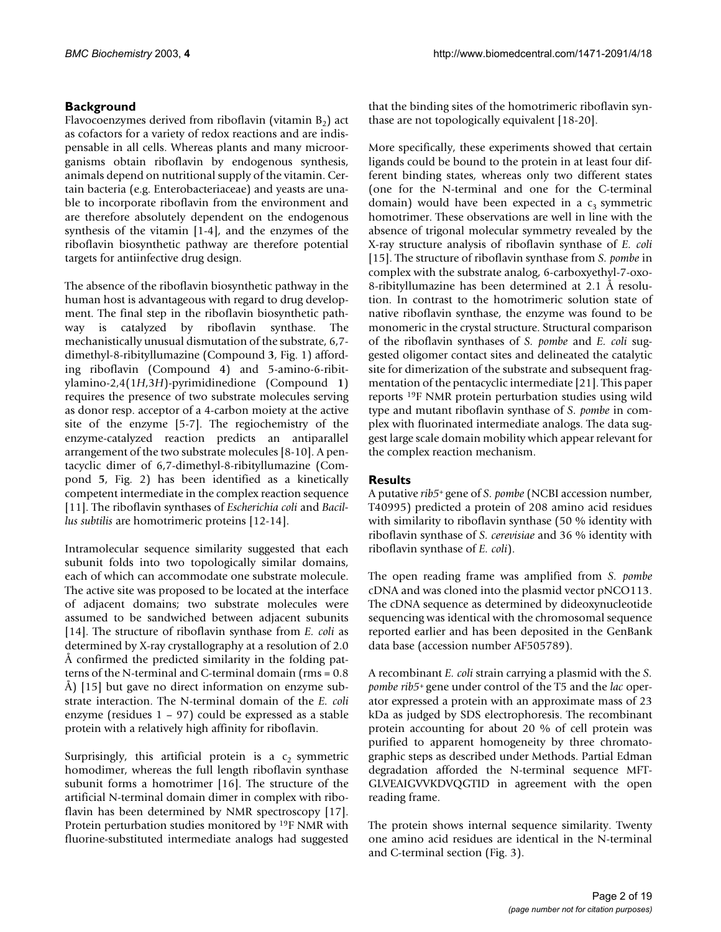# **Background**

Flavocoenzymes derived from riboflavin (vitamin  $B_2$ ) act as cofactors for a variety of redox reactions and are indispensable in all cells. Whereas plants and many microorganisms obtain riboflavin by endogenous synthesis, animals depend on nutritional supply of the vitamin. Certain bacteria (e.g. Enterobacteriaceae) and yeasts are unable to incorporate riboflavin from the environment and are therefore absolutely dependent on the endogenous synthesis of the vitamin [1[-4\]](#page-17-0), and the enzymes of the riboflavin biosynthetic pathway are therefore potential targets for antiinfective drug design.

The absence of the riboflavin biosynthetic pathway in the human host is advantageous with regard to drug development. The final step in the riboflavin biosynthetic pathway is catalyzed by riboflavin synthase. The mechanistically unusual dismutation of the substrate, 6,7 dimethyl-8-ribityllumazine (Compound **3**, Fig. [1](#page-2-0)) affording riboflavin (Compound **4**) and 5-amino-6-ribitylamino-2,4(1*H*,3*H*)-pyrimidinedione (Compound **1**) requires the presence of two substrate molecules serving as donor resp. acceptor of a 4-carbon moiety at the active site of the enzyme [5-7]. The regiochemistry of the enzyme-catalyzed reaction predicts an antiparallel arrangement of the two substrate molecules [8-10]. A pentacyclic dimer of 6,7-dimethyl-8-ribityllumazine (Compond **5**, Fig. [2](#page-3-0)) has been identified as a kinetically competent intermediate in the complex reaction sequence [11]. The riboflavin synthases of *Escherichia coli* and *Bacillus subtilis* are homotrimeric proteins [\[12-](#page-17-1)[14\]](#page-17-2).

Intramolecular sequence similarity suggested that each subunit folds into two topologically similar domains, each of which can accommodate one substrate molecule. The active site was proposed to be located at the interface of adjacent domains; two substrate molecules were assumed to be sandwiched between adjacent subunits [[14](#page-17-2)]. The structure of riboflavin synthase from *E. coli* as determined by X-ray crystallography at a resolution of 2.0 Å confirmed the predicted similarity in the folding patterns of the N-terminal and C-terminal domain (rms = 0.8 Å) [15] but gave no direct information on enzyme substrate interaction. The N-terminal domain of the *E. coli* enzyme (residues 1 – 97) could be expressed as a stable protein with a relatively high affinity for riboflavin.

Surprisingly, this artificial protein is a  $c_2$  symmetric homodimer, whereas the full length riboflavin synthase subunit forms a homotrimer [16]. The structure of the artificial N-terminal domain dimer in complex with riboflavin has been determined by NMR spectroscopy [17]. Protein perturbation studies monitored by 19F NMR with fluorine-substituted intermediate analogs had suggested that the binding sites of the homotrimeric riboflavin synthase are not topologically equivalent [18-20].

More specifically, these experiments showed that certain ligands could be bound to the protein in at least four different binding states, whereas only two different states (one for the N-terminal and one for the C-terminal domain) would have been expected in a  $c_3$  symmetric homotrimer. These observations are well in line with the absence of trigonal molecular symmetry revealed by the X-ray structure analysis of riboflavin synthase of *E. coli* [15]. The structure of riboflavin synthase from *S. pombe* in complex with the substrate analog, 6-carboxyethyl-7-oxo-8-ribityllumazine has been determined at 2.1 Å resolution. In contrast to the homotrimeric solution state of native riboflavin synthase, the enzyme was found to be monomeric in the crystal structure. Structural comparison of the riboflavin synthases of *S. pombe* and *E. coli* suggested oligomer contact sites and delineated the catalytic site for dimerization of the substrate and subsequent fragmentation of the pentacyclic intermediate [21]. This paper reports 19F NMR protein perturbation studies using wild type and mutant riboflavin synthase of *S. pombe* in complex with fluorinated intermediate analogs. The data suggest large scale domain mobility which appear relevant for the complex reaction mechanism.

# **Results**

A putative *rib5*+ gene of *S. pombe* (NCBI accession number, T40995) predicted a protein of 208 amino acid residues with similarity to riboflavin synthase (50 % identity with riboflavin synthase of *S. cerevisiae* and 36 % identity with riboflavin synthase of *E. coli*).

The open reading frame was amplified from *S. pombe* cDNA and was cloned into the plasmid vector pNCO113. The cDNA sequence as determined by dideoxynucleotide sequencing was identical with the chromosomal sequence reported earlier and has been deposited in the GenBank data base (accession number AF505789).

A recombinant *E. coli* strain carrying a plasmid with the *S. pombe rib5*+ gene under control of the T5 and the *lac* operator expressed a protein with an approximate mass of 23 kDa as judged by SDS electrophoresis. The recombinant protein accounting for about 20 % of cell protein was purified to apparent homogeneity by three chromatographic steps as described under Methods. Partial Edman degradation afforded the N-terminal sequence MFT-GLVEAIGVVKDVQGTID in agreement with the open reading frame.

The protein shows internal sequence similarity. Twenty one amino acid residues are identical in the N-terminal and C-terminal section (Fig. 3).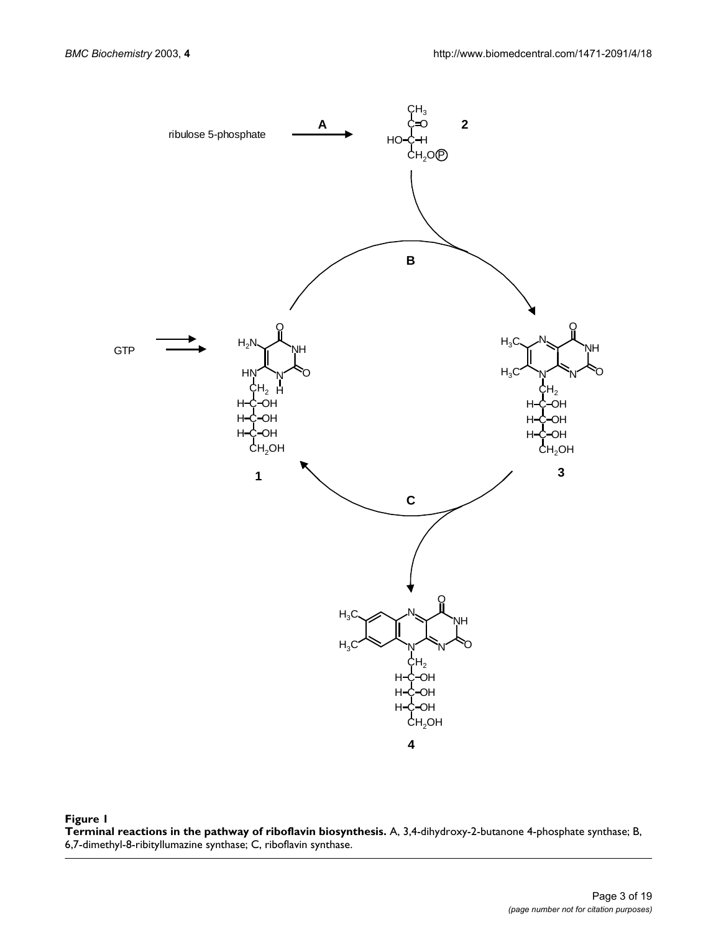<span id="page-2-0"></span>

### Figure 1 **Terminal reactions in the pathway of riboflavin biosynthesis.** A, 3,4-dihydroxy-2-butanone 4-phosphate synthase; B, 6,7-dimethyl-8-ribityllumazine synthase; C, riboflavin synthase.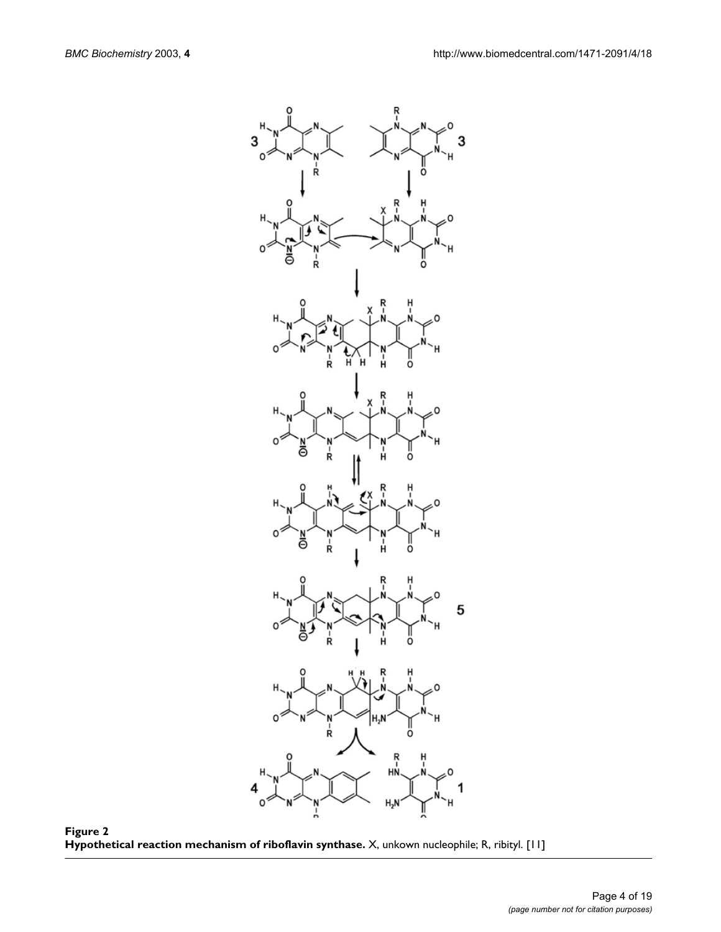<span id="page-3-0"></span>

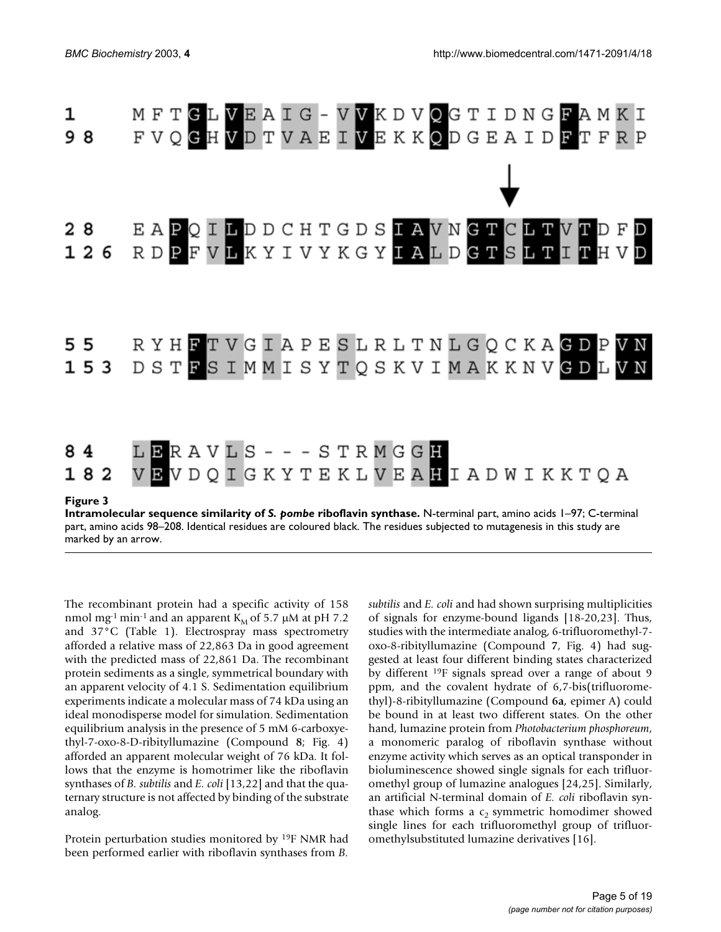

marked by an arrow.

The recombinant protein had a specific activity of 158 nmol mg<sup>-1</sup> min<sup>-1</sup> and an apparent  $K_M$  of 5.7 µM at pH 7.2 and 37°C (Table [1\)](#page-5-0). Electrospray mass spectrometry afforded a relative mass of 22,863 Da in good agreement with the predicted mass of 22,861 Da. The recombinant protein sediments as a single, symmetrical boundary with an apparent velocity of 4.1 S. Sedimentation equilibrium experiments indicate a molecular mass of 74 kDa using an ideal monodisperse model for simulation. Sedimentation equilibrium analysis in the presence of 5 mM 6-carboxyethyl-7-oxo-8-D-ribityllumazine (Compound **8**; Fig. 4) afforded an apparent molecular weight of 76 kDa. It follows that the enzyme is homotrimer like the riboflavin synthases of *B. subtilis* and *E. coli* [13,22] and that the quaternary structure is not affected by binding of the substrate analog.

Protein perturbation studies monitored by 19F NMR had been performed earlier with riboflavin synthases from *B.*

*subtilis* and *E. coli* and had shown surprising multiplicities of signals for enzyme-bound ligands [18-20,23]. Thus, studies with the intermediate analog, 6-trifluoromethyl-7 oxo-8-ribityllumazine (Compound **7**, Fig. 4) had suggested at least four different binding states characterized by different 19F signals spread over a range of about 9 ppm, and the covalent hydrate of 6,7-bis(trifluoromethyl)-8-ribityllumazine (Compound **6a**, epimer A) could be bound in at least two different states. On the other hand, lumazine protein from *Photobacterium phosphoreum*, a monomeric paralog of riboflavin synthase without enzyme activity which serves as an optical transponder in bioluminescence showed single signals for each trifluoromethyl group of lumazine analogues [24[,25\]](#page-18-0). Similarly, an artificial N-terminal domain of *E. coli* riboflavin synthase which forms a  $c_2$  symmetric homodimer showed single lines for each trifluoromethyl group of trifluoromethylsubstituted lumazine derivatives [16].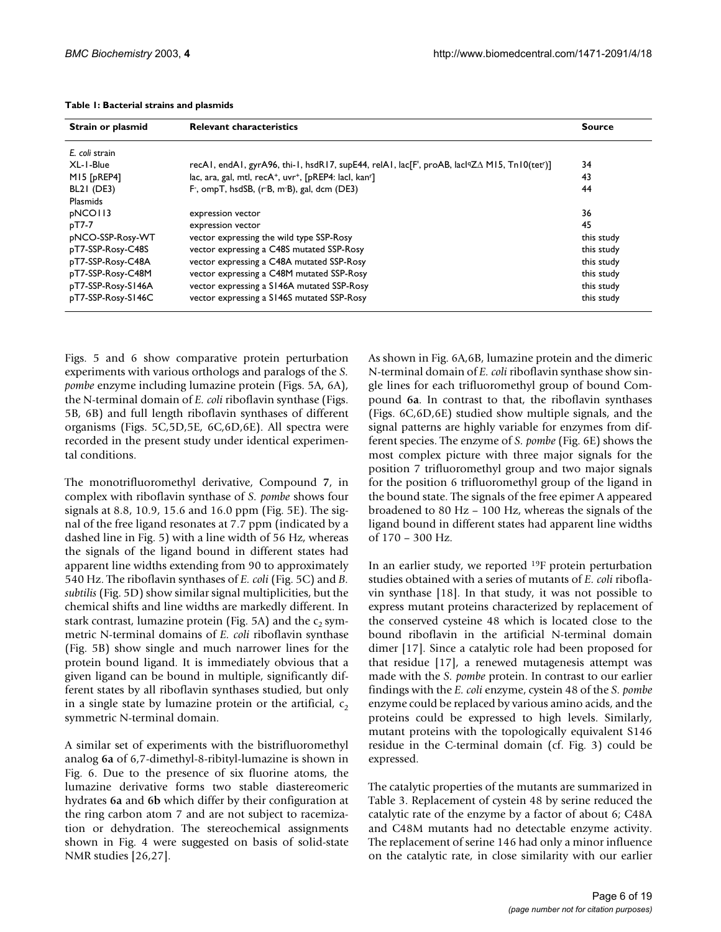| Strain or plasmid  | <b>Relevant characteristics</b>                                                                                  | Source     |
|--------------------|------------------------------------------------------------------------------------------------------------------|------------|
| E. coli strain     |                                                                                                                  |            |
| XL-1-Blue          | recAI, endAI, gyrA96, thi-1, hsdRI7, supE44, relAI, lac[F', proAB, lacIqZ $\Delta$ MI5, TnI0(tet <sup>r</sup> )] | 34         |
| MI5 [pREP4]        | lac, ara, gal, mtl, recA <sup>+</sup> , uvr <sup>+</sup> , [pREP4: lacl, kan <sup>r</sup> ]                      | 43         |
| <b>BL21 (DE3)</b>  | F., ompT, hsdSB, (r-B, m-B), gal, dcm (DE3)                                                                      | 44         |
| Plasmids           |                                                                                                                  |            |
| pNCO113            | expression vector                                                                                                | 36         |
| pT7-7              | expression vector                                                                                                | 45         |
| pNCO-SSP-Rosy-WT   | vector expressing the wild type SSP-Rosy                                                                         | this study |
| pT7-SSP-Rosy-C48S  | vector expressing a C48S mutated SSP-Rosy                                                                        | this study |
| pT7-SSP-Rosy-C48A  | vector expressing a C48A mutated SSP-Rosy                                                                        | this study |
| pT7-SSP-Rosy-C48M  | vector expressing a C48M mutated SSP-Rosy                                                                        | this study |
| pT7-SSP-Rosy-S146A | vector expressing a S146A mutated SSP-Rosy                                                                       | this study |
| pT7-SSP-Rosy-S146C | vector expressing a S146S mutated SSP-Rosy                                                                       | this study |

<span id="page-5-0"></span>

|  |  | Table 1: Bacterial strains and plasmids |  |  |  |
|--|--|-----------------------------------------|--|--|--|
|--|--|-----------------------------------------|--|--|--|

Figs. [5](#page-7-0) and [6](#page-8-0) show comparative protein perturbation experiments with various orthologs and paralogs of the *S. pombe* enzyme including lumazine protein (Figs. [5A](#page-7-0), [6](#page-8-0)A), the N-terminal domain of *E. coli* riboflavin synthase (Figs. [5B](#page-7-0), [6B](#page-8-0)) and full length riboflavin synthases of different organisms (Figs. [5](#page-7-0)C,5D,5E, [6C](#page-8-0),6D,6E). All spectra were recorded in the present study under identical experimental conditions.

The monotrifluoromethyl derivative, Compound **7**, in complex with riboflavin synthase of *S. pombe* shows four signals at 8.8, 10.9, 15.6 and 16.0 ppm (Fig. [5](#page-7-0)E). The signal of the free ligand resonates at 7.7 ppm (indicated by a dashed line in Fig. [5](#page-7-0)) with a line width of 56 Hz, whereas the signals of the ligand bound in different states had apparent line widths extending from 90 to approximately 540 Hz. The riboflavin synthases of *E. coli* (Fig. [5C](#page-7-0)) and *B. subtilis* (Fig. [5](#page-7-0)D) show similar signal multiplicities, but the chemical shifts and line widths are markedly different. In stark contrast, lumazine protein (Fig. [5A](#page-7-0)) and the  $c_2$  symmetric N-terminal domains of *E. coli* riboflavin synthase (Fig. [5B](#page-7-0)) show single and much narrower lines for the protein bound ligand. It is immediately obvious that a given ligand can be bound in multiple, significantly different states by all riboflavin synthases studied, but only in a single state by lumazine protein or the artificial,  $c_2$ symmetric N-terminal domain.

A similar set of experiments with the bistrifluoromethyl analog **6a** of 6,7-dimethyl-8-ribityl-lumazine is shown in Fig. [6](#page-8-0). Due to the presence of six fluorine atoms, the lumazine derivative forms two stable diastereomeric hydrates **6a** and **6b** which differ by their configuration at the ring carbon atom 7 and are not subject to racemization or dehydration. The stereochemical assignments shown in Fig. 4 were suggested on basis of solid-state NMR studies [\[26](#page-18-1)[,27](#page-18-2)].

As shown in Fig. [6A](#page-8-0),6B, lumazine protein and the dimeric N-terminal domain of *E. coli* riboflavin synthase show single lines for each trifluoromethyl group of bound Compound **6a**. In contrast to that, the riboflavin synthases (Figs. [6C](#page-8-0),6D,6E) studied show multiple signals, and the signal patterns are highly variable for enzymes from different species. The enzyme of *S. pombe* (Fig. [6E](#page-8-0)) shows the most complex picture with three major signals for the position 7 trifluoromethyl group and two major signals for the position 6 trifluoromethyl group of the ligand in the bound state. The signals of the free epimer A appeared broadened to 80 Hz – 100 Hz, whereas the signals of the ligand bound in different states had apparent line widths of 170 – 300 Hz.

In an earlier study, we reported 19F protein perturbation studies obtained with a series of mutants of *E. coli* riboflavin synthase [18]. In that study, it was not possible to express mutant proteins characterized by replacement of the conserved cysteine 48 which is located close to the bound riboflavin in the artificial N-terminal domain dimer [17]. Since a catalytic role had been proposed for that residue [17], a renewed mutagenesis attempt was made with the *S. pombe* protein. In contrast to our earlier findings with the *E. coli* enzyme, cystein 48 of the *S. pombe* enzyme could be replaced by various amino acids, and the proteins could be expressed to high levels. Similarly, mutant proteins with the topologically equivalent S146 residue in the C-terminal domain (cf. Fig. 3) could be expressed.

The catalytic properties of the mutants are summarized in Table [3](#page-16-0). Replacement of cystein 48 by serine reduced the catalytic rate of the enzyme by a factor of about 6; C48A and C48M mutants had no detectable enzyme activity. The replacement of serine 146 had only a minor influence on the catalytic rate, in close similarity with our earlier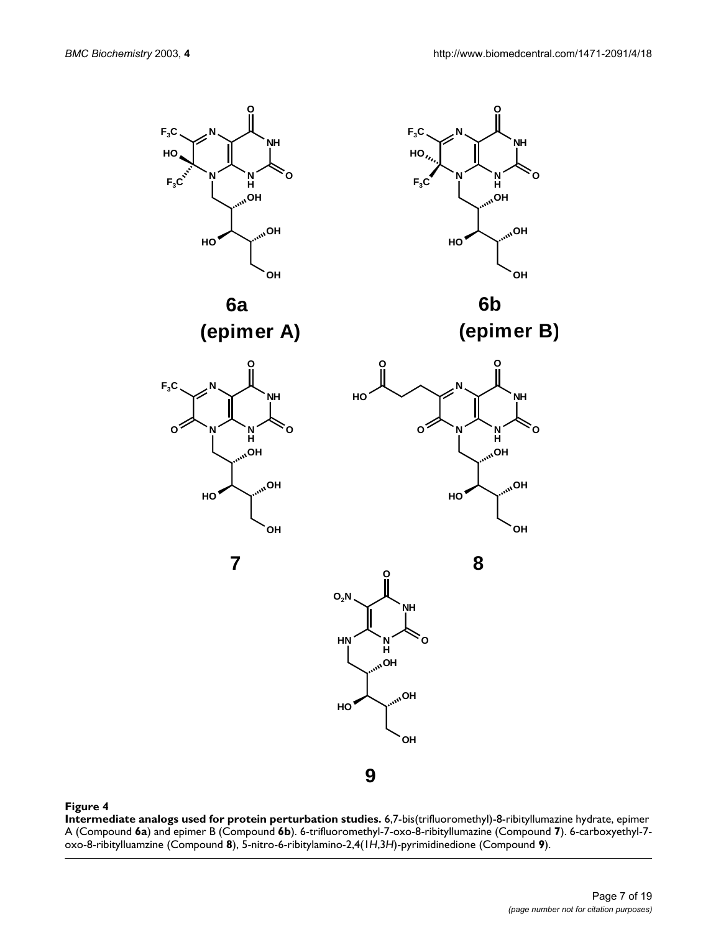

#### Figure 4

**Intermediate analogs used for protein perturbation studies.** 6,7-bis(trifluoromethyl)-8-ribityllumazine hydrate, epimer A (Compound **6a**) and epimer B (Compound **6b**). 6-trifluoromethyl-7-oxo-8-ribityllumazine (Compound **7**). 6-carboxyethyl-7 oxo-8-ribitylluamzine (Compound **8**), 5-nitro-6-ribitylamino-2,4(1*H*,3*H*)-pyrimidinedione (Compound **9**).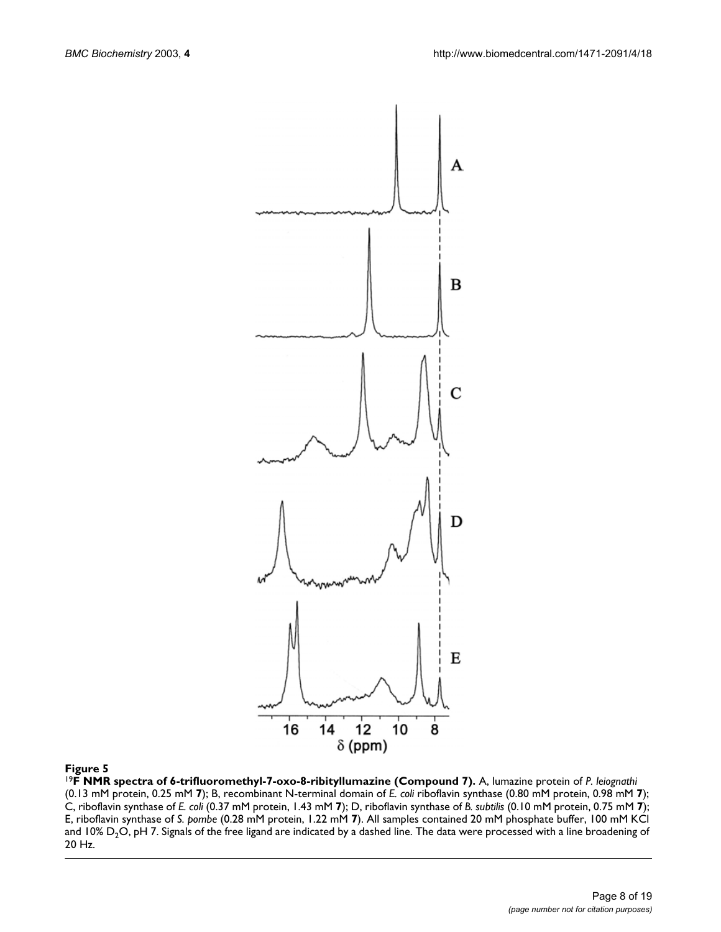<span id="page-7-0"></span>

## Figure 5

<sup>19</sup>**F NMR spectra of 6-trifluoromethyl-7-oxo-8-ribityllumazine (Compound 7).** A, lumazine protein of *P. leiognathi*  (0.13 mM protein, 0.25 mM **7**); B, recombinant N-terminal domain of *E. coli* riboflavin synthase (0.80 mM protein, 0.98 mM **7**); C, riboflavin synthase of *E. coli* (0.37 mM protein, 1.43 mM **7**); D, riboflavin synthase of *B. subtilis* (0.10 mM protein, 0.75 mM **7**); E, riboflavin synthase of *S. pombe* (0.28 mM protein, 1.22 mM **7**). All samples contained 20 mM phosphate buffer, 100 mM KCl and  $10\%$  D<sub>2</sub>O, pH 7. Signals of the free ligand are indicated by a dashed line. The data were processed with a line broadening of 20 Hz.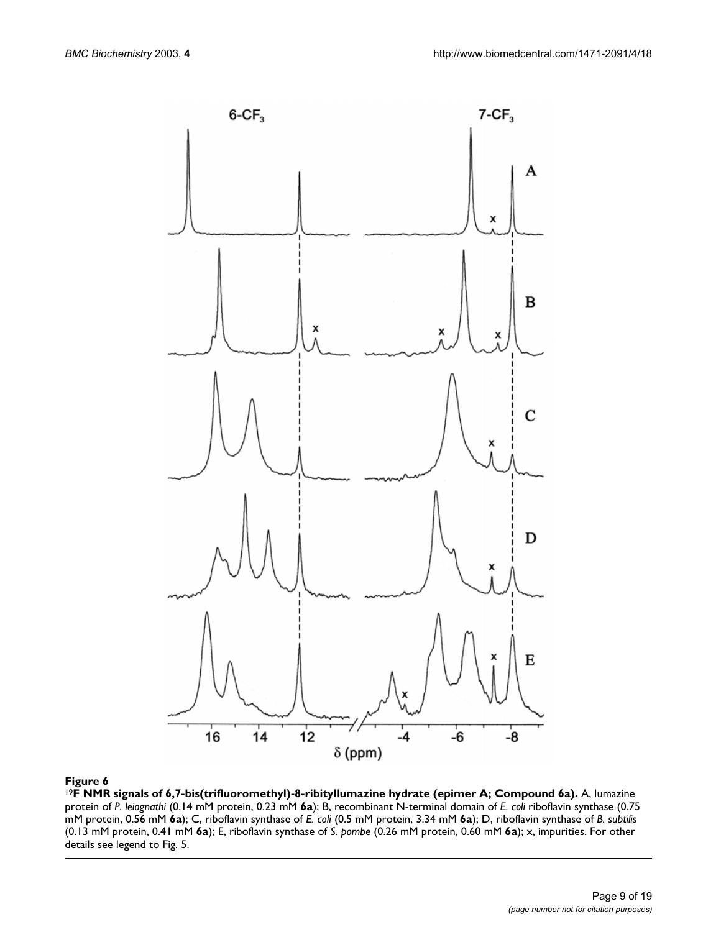<span id="page-8-0"></span>

<sup>19</sup>**F NMR signals of 6,7-bis(trifluoromethyl)-8-ribityllumazine hydrate (epimer A; Compound 6a).** A, lumazine protein of *P. leiognathi* (0.14 mM protein, 0.23 mM **6a**); B, recombinant N-terminal domain of *E. coli* riboflavin synthase (0.75 mM protein, 0.56 mM **6a**); C, riboflavin synthase of *E. coli* (0.5 mM protein, 3.34 mM **6a**); D, riboflavin synthase of *B. subtilis*  (0.13 mM protein, 0.41 mM **6a**); E, riboflavin synthase of *S. pombe* (0.26 mM protein, 0.60 mM **6a**); x, impurities. For other details see legend to Fig. [5.](#page-7-0)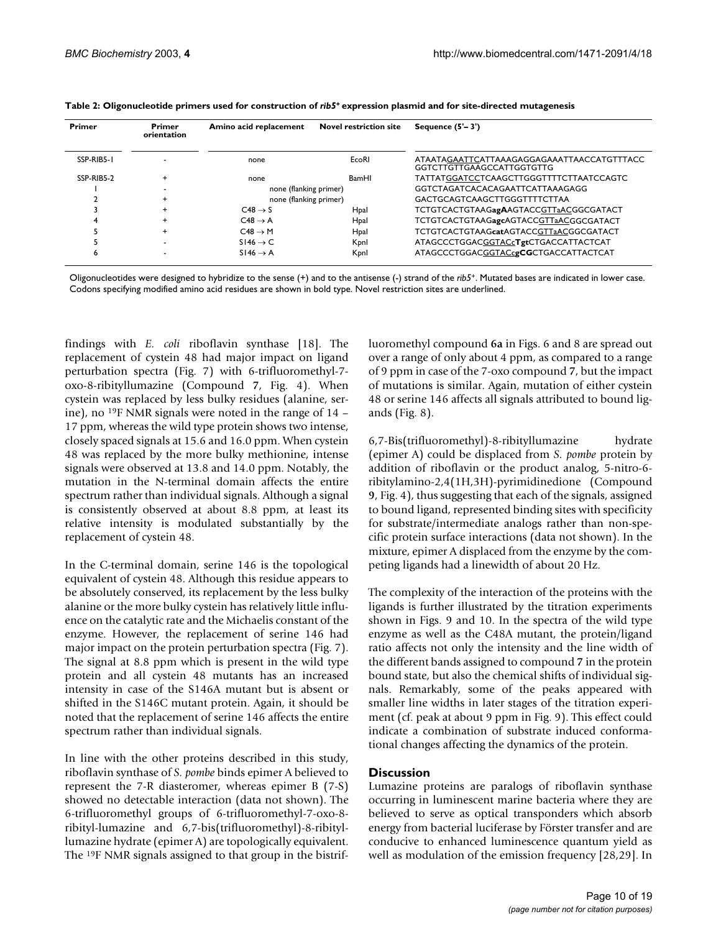| Primer     | Primer<br>orientation | Amino acid replacement | <b>Novel restriction site</b> | Sequence $(5'-3')$                                                      |
|------------|-----------------------|------------------------|-------------------------------|-------------------------------------------------------------------------|
| SSP-RIB5-1 |                       | none                   | EcoRI                         | ATAATAGAATTCATTAAAGAGGAGAAATTAACCATGTTTACC<br>GGTCTTGTTGAAGCCATTGGTGTTG |
| SSP-RIB5-2 | $\ddot{}$             | none                   | BamHI                         | TATTATGGATCCTCAAGCTTGGGTTTTCTTAATCCAGTC                                 |
|            |                       | none (flanking primer) |                               | GGTCTAGATCACACAGAATTCATTAAAGAGG                                         |
|            |                       | none (flanking primer) |                               | GACTGCAGTCAAGCTTGGGTTTTCTTAA                                            |
|            |                       | $C48 \rightarrow S$    | Hpal                          | TCTGTCACTGTAAGagAAGTACCGTTaACGGCGATACT                                  |
|            |                       | $C48 \rightarrow A$    | Hpal                          | TCTGTCACTGTAAGagcAGTACCGTTaACGGCGATACT                                  |
|            | $\ddot{}$             | $C48 \rightarrow M$    | Hpal                          | <b>TCTGTCACTGTAAGcatAGTACCGTTaACGGCGATACT</b>                           |
|            |                       | $SI46 \rightarrow C$   | Kpnl                          | ATAGCCCTGGACGGTACcTgtCTGACCATTACTCAT                                    |
| 6          |                       | $SI46 \rightarrow A$   | Kpnl                          | ATAGCCCTGGACGGTACcgCGCTGACCATTACTCAT                                    |

<span id="page-9-0"></span>

| Table 2: Oligonucleotide primers used for construction of rib5 <sup>+</sup> expression plasmid and for site-directed mutagenesis |  |  |
|----------------------------------------------------------------------------------------------------------------------------------|--|--|
|----------------------------------------------------------------------------------------------------------------------------------|--|--|

Oligonucleotides were designed to hybridize to the sense (+) and to the antisense (-) strand of the *rib5*+. Mutated bases are indicated in lower case. Codons specifying modified amino acid residues are shown in bold type. Novel restriction sites are underlined.

findings with *E. coli* riboflavin synthase [18]. The replacement of cystein 48 had major impact on ligand perturbation spectra (Fig. 7) with 6-trifluoromethyl-7 oxo-8-ribityllumazine (Compound **7**, Fig. 4). When cystein was replaced by less bulky residues (alanine, serine), no 19F NMR signals were noted in the range of 14 – 17 ppm, whereas the wild type protein shows two intense, closely spaced signals at 15.6 and 16.0 ppm. When cystein 48 was replaced by the more bulky methionine, intense signals were observed at 13.8 and 14.0 ppm. Notably, the mutation in the N-terminal domain affects the entire spectrum rather than individual signals. Although a signal is consistently observed at about 8.8 ppm, at least its relative intensity is modulated substantially by the replacement of cystein 48.

In the C-terminal domain, serine 146 is the topological equivalent of cystein 48. Although this residue appears to be absolutely conserved, its replacement by the less bulky alanine or the more bulky cystein has relatively little influence on the catalytic rate and the Michaelis constant of the enzyme. However, the replacement of serine 146 had major impact on the protein perturbation spectra (Fig. 7). The signal at 8.8 ppm which is present in the wild type protein and all cystein 48 mutants has an increased intensity in case of the S146A mutant but is absent or shifted in the S146C mutant protein. Again, it should be noted that the replacement of serine 146 affects the entire spectrum rather than individual signals.

In line with the other proteins described in this study, riboflavin synthase of *S. pombe* binds epimer A believed to represent the 7-R diasteromer, whereas epimer B (7-S) showed no detectable interaction (data not shown). The 6-trifluoromethyl groups of 6-trifluoromethyl-7-oxo-8 ribityl-lumazine and 6,7-bis(trifluoromethyl)-8-ribityllumazine hydrate (epimer A) are topologically equivalent. The 19F NMR signals assigned to that group in the bistrifluoromethyl compound **6a** in Figs. [6](#page-8-0) and 8 are spread out over a range of only about 4 ppm, as compared to a range of 9 ppm in case of the 7-oxo compound **7**, but the impact of mutations is similar. Again, mutation of either cystein 48 or serine 146 affects all signals attributed to bound ligands (Fig. 8).

6,7-Bis(trifluoromethyl)-8-ribityllumazine hydrate (epimer A) could be displaced from *S. pombe* protein by addition of riboflavin or the product analog, 5-nitro-6 ribitylamino-2,4(1H,3H)-pyrimidinedione (Compound **9**, Fig. 4), thus suggesting that each of the signals, assigned to bound ligand, represented binding sites with specificity for substrate/intermediate analogs rather than non-specific protein surface interactions (data not shown). In the mixture, epimer A displaced from the enzyme by the competing ligands had a linewidth of about 20 Hz.

The complexity of the interaction of the proteins with the ligands is further illustrated by the titration experiments shown in Figs. [9](#page-12-0) and [10.](#page-13-0) In the spectra of the wild type enzyme as well as the C48A mutant, the protein/ligand ratio affects not only the intensity and the line width of the different bands assigned to compound **7** in the protein bound state, but also the chemical shifts of individual signals. Remarkably, some of the peaks appeared with smaller line widths in later stages of the titration experiment (cf. peak at about 9 ppm in Fig. [9\)](#page-12-0). This effect could indicate a combination of substrate induced conformational changes affecting the dynamics of the protein.

### **Discussion**

Lumazine proteins are paralogs of riboflavin synthase occurring in luminescent marine bacteria where they are believed to serve as optical transponders which absorb energy from bacterial luciferase by Förster transfer and are conducive to enhanced luminescence quantum yield as well as modulation of the emission frequency [28,29]. In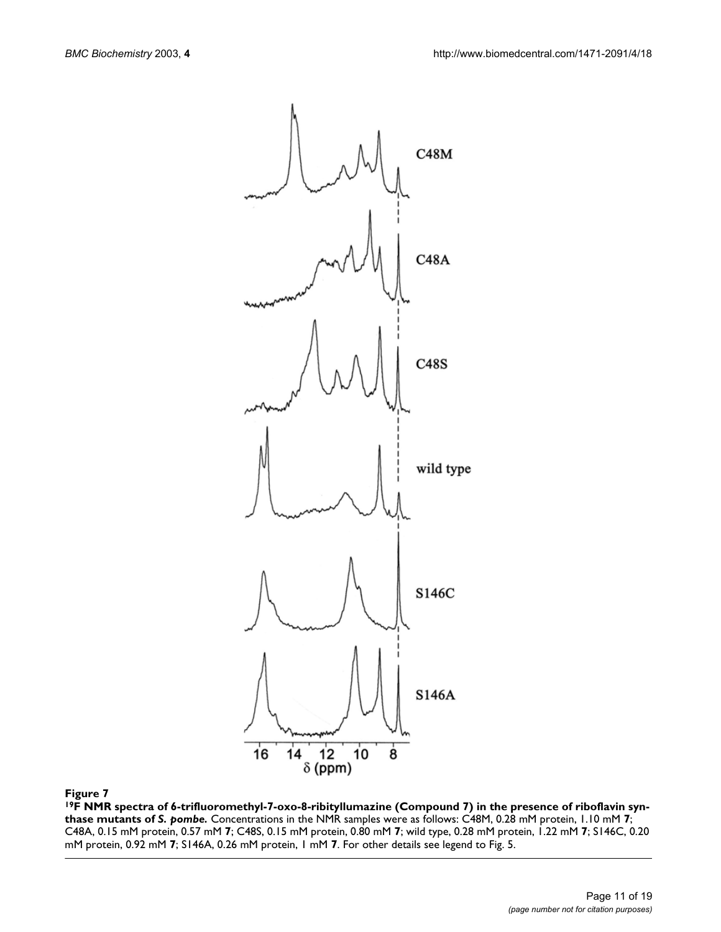

**19F NMR spectra of 6-trifluoromethyl-7-oxo-8-ribityllumazine (Compound 7) in the presence of riboflavin synthase mutants of** *S. pombe.* Concentrations in the NMR samples were as follows: C48M, 0.28 mM protein, 1.10 mM **7**; C48A, 0.15 mM protein, 0.57 mM **7**; C48S, 0.15 mM protein, 0.80 mM **7**; wild type, 0.28 mM protein, 1.22 mM **7**; S146C, 0.20 mM protein, 0.92 mM **7**; S146A, 0.26 mM protein, 1 mM **7**. For other details see legend to Fig. [5](#page-7-0).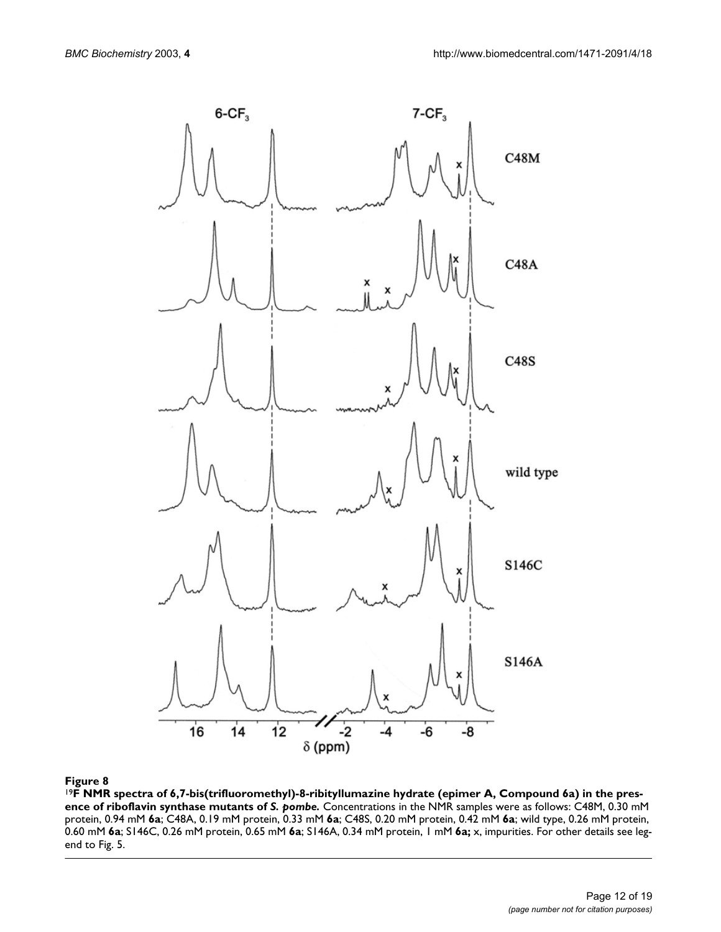

<sup>19</sup> F NMR spectra of 6,7-bis(trifluoromethyl)-8-ribityllumazine hydrate (epimer A, Compound 6a) in the pres**ence of riboflavin synthase mutants of** *S. pombe.* Concentrations in the NMR samples were as follows: C48M, 0.30 mM protein, 0.94 mM **6a**; C48A, 0.19 mM protein, 0.33 mM **6a**; C48S, 0.20 mM protein, 0.42 mM **6a**; wild type, 0.26 mM protein, 0.60 mM **6a**; S146C, 0.26 mM protein, 0.65 mM **6a**; S146A, 0.34 mM protein, 1 mM **6a;** x, impurities. For other details see legend to Fig. [5](#page-7-0).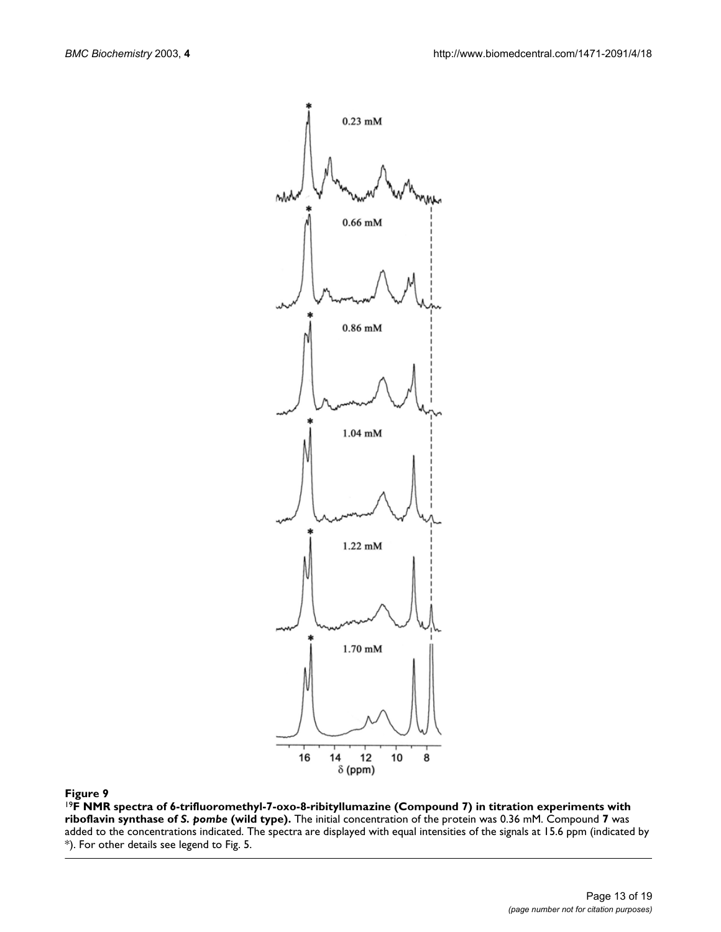<span id="page-12-0"></span>

<sup>19</sup>**F NMR spectra of 6-trifluoromethyl-7-oxo-8-ribityllumazine (Compound 7) in titration experiments with riboflavin synthase of** *S. pombe* **(wild type).** The initial concentration of the protein was 0.36 mM. Compound **7** was added to the concentrations indicated. The spectra are displayed with equal intensities of the signals at 15.6 ppm (indicated by \*). For other details see legend to Fig. [5.](#page-7-0)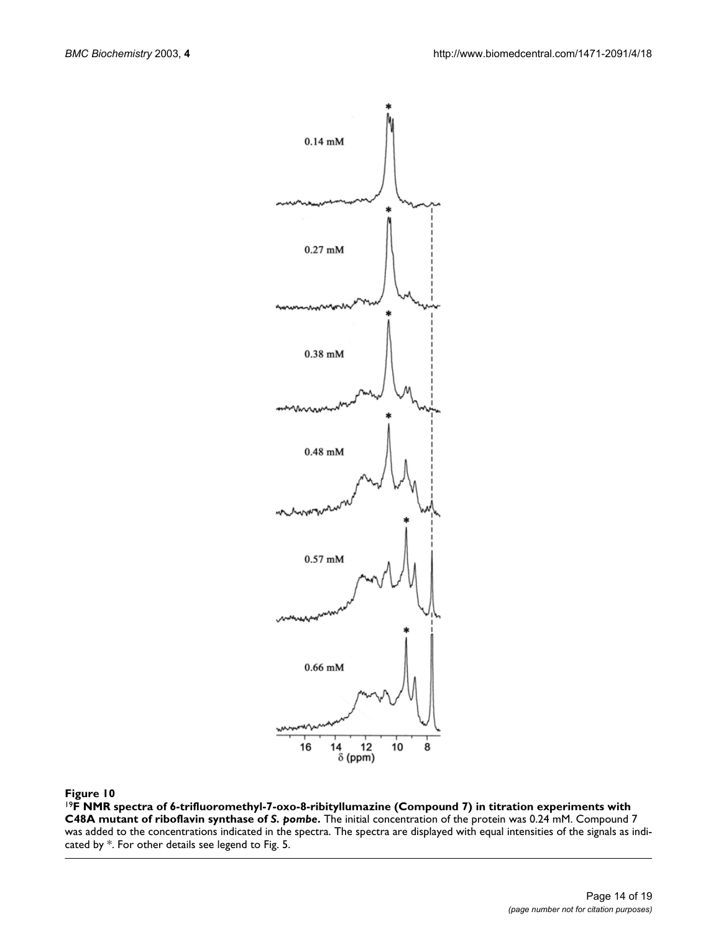<span id="page-13-0"></span>

<sup>19</sup>**F NMR spectra of 6-trifluoromethyl-7-oxo-8-ribityllumazine (Compound 7) in titration experiments with C48A mutant of riboflavin synthase of** *S. pombe***.** The initial concentration of the protein was 0.24 mM. Compound 7 was added to the concentrations indicated in the spectra. The spectra are displayed with equal intensities of the signals as indicated by \*. For other details see legend to Fig. [5.](#page-7-0)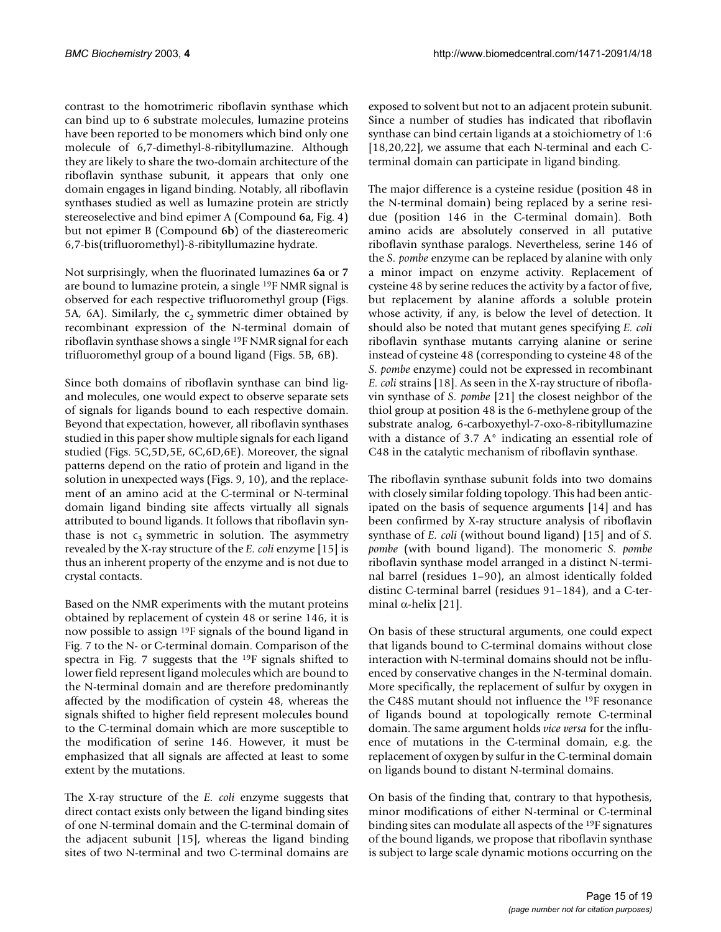contrast to the homotrimeric riboflavin synthase which can bind up to 6 substrate molecules, lumazine proteins have been reported to be monomers which bind only one molecule of 6,7-dimethyl-8-ribityllumazine. Although they are likely to share the two-domain architecture of the riboflavin synthase subunit, it appears that only one domain engages in ligand binding. Notably, all riboflavin synthases studied as well as lumazine protein are strictly stereoselective and bind epimer A (Compound **6a**, Fig. 4) but not epimer B (Compound **6b**) of the diastereomeric 6,7-bis(trifluoromethyl)-8-ribityllumazine hydrate.

Not surprisingly, when the fluorinated lumazines **6a** or **7** are bound to lumazine protein, a single 19F NMR signal is observed for each respective trifluoromethyl group (Figs. [5A](#page-7-0), [6A](#page-8-0)). Similarly, the  $c_2$  symmetric dimer obtained by recombinant expression of the N-terminal domain of riboflavin synthase shows a single 19F NMR signal for each trifluoromethyl group of a bound ligand (Figs. [5B](#page-7-0), [6](#page-8-0)B).

Since both domains of riboflavin synthase can bind ligand molecules, one would expect to observe separate sets of signals for ligands bound to each respective domain. Beyond that expectation, however, all riboflavin synthases studied in this paper show multiple signals for each ligand studied (Figs. [5](#page-7-0)C,5D,5E, [6](#page-8-0)C,6D,6E). Moreover, the signal patterns depend on the ratio of protein and ligand in the solution in unexpected ways (Figs. [9,](#page-12-0) [10](#page-13-0)), and the replacement of an amino acid at the C-terminal or N-terminal domain ligand binding site affects virtually all signals attributed to bound ligands. It follows that riboflavin synthase is not  $c_3$  symmetric in solution. The asymmetry revealed by the X-ray structure of the *E. coli* enzyme [15] is thus an inherent property of the enzyme and is not due to crystal contacts.

Based on the NMR experiments with the mutant proteins obtained by replacement of cystein 48 or serine 146, it is now possible to assign 19F signals of the bound ligand in Fig. 7 to the N- or C-terminal domain. Comparison of the spectra in Fig. 7 suggests that the 19F signals shifted to lower field represent ligand molecules which are bound to the N-terminal domain and are therefore predominantly affected by the modification of cystein 48, whereas the signals shifted to higher field represent molecules bound to the C-terminal domain which are more susceptible to the modification of serine 146. However, it must be emphasized that all signals are affected at least to some extent by the mutations.

The X-ray structure of the *E. coli* enzyme suggests that direct contact exists only between the ligand binding sites of one N-terminal domain and the C-terminal domain of the adjacent subunit [15], whereas the ligand binding sites of two N-terminal and two C-terminal domains are exposed to solvent but not to an adjacent protein subunit. Since a number of studies has indicated that riboflavin synthase can bind certain ligands at a stoichiometry of 1:6 [18,20,22], we assume that each N-terminal and each Cterminal domain can participate in ligand binding.

The major difference is a cysteine residue (position 48 in the N-terminal domain) being replaced by a serine residue (position 146 in the C-terminal domain). Both amino acids are absolutely conserved in all putative riboflavin synthase paralogs. Nevertheless, serine 146 of the *S. pombe* enzyme can be replaced by alanine with only a minor impact on enzyme activity. Replacement of cysteine 48 by serine reduces the activity by a factor of five, but replacement by alanine affords a soluble protein whose activity, if any, is below the level of detection. It should also be noted that mutant genes specifying *E. coli* riboflavin synthase mutants carrying alanine or serine instead of cysteine 48 (corresponding to cysteine 48 of the *S. pombe* enzyme) could not be expressed in recombinant *E. coli* strains [18]. As seen in the X-ray structure of riboflavin synthase of *S. pombe* [21] the closest neighbor of the thiol group at position 48 is the 6-methylene group of the substrate analog, 6-carboxyethyl-7-oxo-8-ribityllumazine with a distance of 3.7 A° indicating an essential role of C48 in the catalytic mechanism of riboflavin synthase.

The riboflavin synthase subunit folds into two domains with closely similar folding topology. This had been anticipated on the basis of sequence arguments [[14\]](#page-17-2) and has been confirmed by X-ray structure analysis of riboflavin synthase of *E. coli* (without bound ligand) [15] and of *S. pombe* (with bound ligand). The monomeric *S. pombe* riboflavin synthase model arranged in a distinct N-terminal barrel (residues 1–90), an almost identically folded distinc C-terminal barrel (residues 91–184), and a C-terminal  $\alpha$ -helix [21].

On basis of these structural arguments, one could expect that ligands bound to C-terminal domains without close interaction with N-terminal domains should not be influenced by conservative changes in the N-terminal domain. More specifically, the replacement of sulfur by oxygen in the C48S mutant should not influence the 19F resonance of ligands bound at topologically remote C-terminal domain. The same argument holds *vice versa* for the influence of mutations in the C-terminal domain, e.g. the replacement of oxygen by sulfur in the C-terminal domain on ligands bound to distant N-terminal domains.

On basis of the finding that, contrary to that hypothesis, minor modifications of either N-terminal or C-terminal binding sites can modulate all aspects of the 19F signatures of the bound ligands, we propose that riboflavin synthase is subject to large scale dynamic motions occurring on the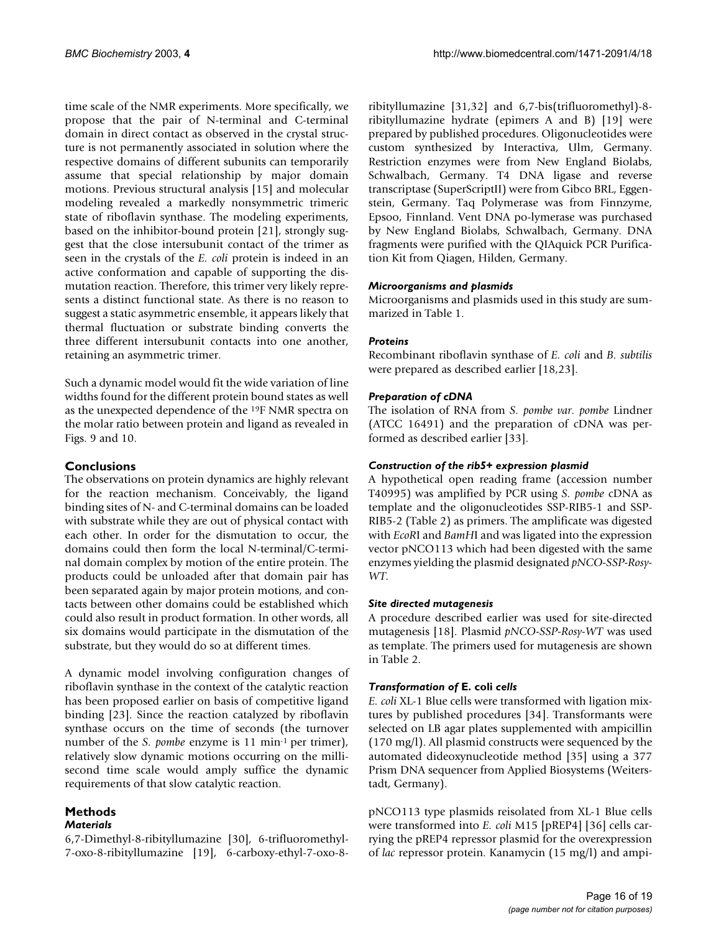time scale of the NMR experiments. More specifically, we propose that the pair of N-terminal and C-terminal domain in direct contact as observed in the crystal structure is not permanently associated in solution where the respective domains of different subunits can temporarily assume that special relationship by major domain motions. Previous structural analysis [15] and molecular modeling revealed a markedly nonsymmetric trimeric state of riboflavin synthase. The modeling experiments, based on the inhibitor-bound protein [21], strongly suggest that the close intersubunit contact of the trimer as seen in the crystals of the *E. coli* protein is indeed in an active conformation and capable of supporting the dismutation reaction. Therefore, this trimer very likely represents a distinct functional state. As there is no reason to suggest a static asymmetric ensemble, it appears likely that thermal fluctuation or substrate binding converts the three different intersubunit contacts into one another, retaining an asymmetric trimer.

Such a dynamic model would fit the wide variation of line widths found for the different protein bound states as well as the unexpected dependence of the 19F NMR spectra on the molar ratio between protein and ligand as revealed in Figs. [9](#page-12-0) and [10.](#page-13-0)

### **Conclusions**

The observations on protein dynamics are highly relevant for the reaction mechanism. Conceivably, the ligand binding sites of N- and C-terminal domains can be loaded with substrate while they are out of physical contact with each other. In order for the dismutation to occur, the domains could then form the local N-terminal/C-terminal domain complex by motion of the entire protein. The products could be unloaded after that domain pair has been separated again by major protein motions, and contacts between other domains could be established which could also result in product formation. In other words, all six domains would participate in the dismutation of the substrate, but they would do so at different times.

A dynamic model involving configuration changes of riboflavin synthase in the context of the catalytic reaction has been proposed earlier on basis of competitive ligand binding [23]. Since the reaction catalyzed by riboflavin synthase occurs on the time of seconds (the turnover number of the *S. pombe* enzyme is 11 min<sup>-1</sup> per trimer), relatively slow dynamic motions occurring on the millisecond time scale would amply suffice the dynamic requirements of that slow catalytic reaction.

# **Methods**

# *Materials*

6,7-Dimethyl-8-ribityllumazine [30], 6-trifluoromethyl-7-oxo-8-ribityllumazine [19], 6-carboxy-ethyl-7-oxo-8ribityllumazine [31,32] and 6,7-bis(trifluoromethyl)-8 ribityllumazine hydrate (epimers A and B) [19] were prepared by published procedures. Oligonucleotides were custom synthesized by Interactiva, Ulm, Germany. Restriction enzymes were from New England Biolabs, Schwalbach, Germany. T4 DNA ligase and reverse transcriptase (SuperScriptII) were from Gibco BRL, Eggenstein, Germany. Taq Polymerase was from Finnzyme, Epsoo, Finnland. Vent DNA po-lymerase was purchased by New England Biolabs, Schwalbach, Germany. DNA fragments were purified with the QIAquick PCR Purification Kit from Qiagen, Hilden, Germany.

#### *Microorganisms and plasmids*

Microorganisms and plasmids used in this study are summarized in Table [1.](#page-5-0)

#### *Proteins*

Recombinant riboflavin synthase of *E. coli* and *B. subtilis* were prepared as described earlier [18,23].

#### *Preparation of cDNA*

The isolation of RNA from *S. pombe var. pombe* Lindner (ATCC 16491) and the preparation of cDNA was performed as described earlier [33].

#### *Construction of the rib5+ expression plasmid*

A hypothetical open reading frame (accession number T40995) was amplified by PCR using *S. pombe* cDNA as template and the oligonucleotides SSP-RIB5-1 and SSP-RIB5-2 (Table [2](#page-9-0)) as primers. The amplificate was digested with *EcoR*I and *BamH*I and was ligated into the expression vector pNCO113 which had been digested with the same enzymes yielding the plasmid designated *pNCO-SSP-Rosy-WT.*

#### *Site directed mutagenesis*

A procedure described earlier was used for site-directed mutagenesis [18]. Plasmid *pNCO-SSP-Rosy-WT* was used as template. The primers used for mutagenesis are shown in Table [2](#page-9-0).

#### *Transformation of* **E. coli** *cells*

*E. coli* XL-1 Blue cells were transformed with ligation mixtures by published procedures [34]. Transformants were selected on LB agar plates supplemented with ampicillin (170 mg/l). All plasmid constructs were sequenced by the automated dideoxynucleotide method [35] using a 377 Prism DNA sequencer from Applied Biosystems (Weiterstadt, Germany).

pNCO113 type plasmids reisolated from XL-1 Blue cells were transformed into *E. coli* M15 [pREP4] [36] cells carrying the pREP4 repressor plasmid for the overexpression of *lac* repressor protein. Kanamycin (15 mg/l) and ampi-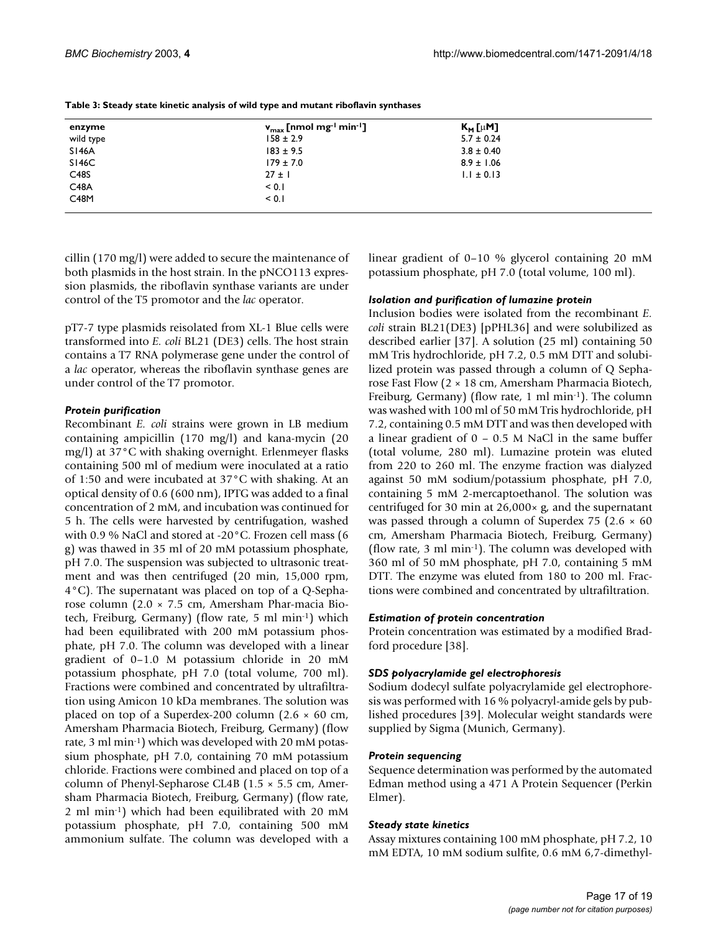| enzyme            | $v_{\text{max}}$ [nmol mg <sup>-1</sup> min <sup>-1</sup> ] | $K_M$ [µM]     |  |
|-------------------|-------------------------------------------------------------|----------------|--|
| wild type         | $158 \pm 2.9$                                               | $5.7 \pm 0.24$ |  |
| S146A             | $183 \pm 9.5$                                               | $3.8 \pm 0.40$ |  |
| <b>SI46C</b>      | $179 \pm 7.0$                                               | $8.9 \pm 1.06$ |  |
| C <sub>48</sub> S | $27 \pm 1$                                                  | $1.1 \pm 0.13$ |  |
| C48A              | < 0.1                                                       |                |  |
| C48M              | < 0.1                                                       |                |  |
|                   |                                                             |                |  |

<span id="page-16-0"></span>**Table 3: Steady state kinetic analysis of wild type and mutant riboflavin synthases**

cillin (170 mg/l) were added to secure the maintenance of both plasmids in the host strain. In the pNCO113 expression plasmids, the riboflavin synthase variants are under control of the T5 promotor and the *lac* operator.

pT7-7 type plasmids reisolated from XL-1 Blue cells were transformed into *E. coli* BL21 (DE3) cells. The host strain contains a T7 RNA polymerase gene under the control of a *lac* operator, whereas the riboflavin synthase genes are under control of the T7 promotor.

### *Protein purification*

Recombinant *E. coli* strains were grown in LB medium containing ampicillin (170 mg/l) and kana-mycin (20 mg/l) at 37°C with shaking overnight. Erlenmeyer flasks containing 500 ml of medium were inoculated at a ratio of 1:50 and were incubated at 37°C with shaking. At an optical density of 0.6 (600 nm), IPTG was added to a final concentration of 2 mM, and incubation was continued for 5 h. The cells were harvested by centrifugation, washed with 0.9 % NaCl and stored at -20°C. Frozen cell mass (6 g) was thawed in 35 ml of 20 mM potassium phosphate, pH 7.0. The suspension was subjected to ultrasonic treatment and was then centrifuged (20 min, 15,000 rpm, 4°C). The supernatant was placed on top of a Q-Sepharose column (2.0 × 7.5 cm, Amersham Phar-macia Biotech, Freiburg, Germany) (flow rate, 5 ml min-1) which had been equilibrated with 200 mM potassium phosphate, pH 7.0. The column was developed with a linear gradient of 0–1.0 M potassium chloride in 20 mM potassium phosphate, pH 7.0 (total volume, 700 ml). Fractions were combined and concentrated by ultrafiltration using Amicon 10 kDa membranes. The solution was placed on top of a Superdex-200 column (2.6  $\times$  60 cm, Amersham Pharmacia Biotech, Freiburg, Germany) (flow rate, 3 ml min-1) which was developed with 20 mM potassium phosphate, pH 7.0, containing 70 mM potassium chloride. Fractions were combined and placed on top of a column of Phenyl-Sepharose CL4B (1.5 × 5.5 cm, Amersham Pharmacia Biotech, Freiburg, Germany) (flow rate, 2 ml min-1) which had been equilibrated with 20 mM potassium phosphate, pH 7.0, containing 500 mM ammonium sulfate. The column was developed with a

linear gradient of 0–10 % glycerol containing 20 mM potassium phosphate, pH 7.0 (total volume, 100 ml).

### *Isolation and purification of lumazine protein*

Inclusion bodies were isolated from the recombinant *E. coli* strain BL21(DE3) [pPHL36] and were solubilized as described earlier [37]. A solution (25 ml) containing 50 mM Tris hydrochloride, pH 7.2, 0.5 mM DTT and solubilized protein was passed through a column of Q Sepharose Fast Flow (2 × 18 cm, Amersham Pharmacia Biotech, Freiburg, Germany) (flow rate, 1 ml min-1). The column was washed with 100 ml of 50 mM Tris hydrochloride, pH 7.2, containing 0.5 mM DTT and was then developed with a linear gradient of 0 – 0.5 M NaCl in the same buffer (total volume, 280 ml). Lumazine protein was eluted from 220 to 260 ml. The enzyme fraction was dialyzed against 50 mM sodium/potassium phosphate, pH 7.0, containing 5 mM 2-mercaptoethanol. The solution was centrifuged for 30 min at 26,000× g, and the supernatant was passed through a column of Superdex 75 (2.6  $\times$  60 cm, Amersham Pharmacia Biotech, Freiburg, Germany) (flow rate, 3 ml min-1). The column was developed with 360 ml of 50 mM phosphate, pH 7.0, containing 5 mM DTT. The enzyme was eluted from 180 to 200 ml. Fractions were combined and concentrated by ultrafiltration.

### *Estimation of protein concentration*

Protein concentration was estimated by a modified Bradford procedure [38].

### *SDS polyacrylamide gel electrophoresis*

Sodium dodecyl sulfate polyacrylamide gel electrophoresis was performed with 16 % polyacryl-amide gels by published procedures [39]. Molecular weight standards were supplied by Sigma (Munich, Germany).

#### *Protein sequencing*

Sequence determination was performed by the automated Edman method using a 471 A Protein Sequencer (Perkin Elmer).

#### *Steady state kinetics*

Assay mixtures containing 100 mM phosphate, pH 7.2, 10 mM EDTA, 10 mM sodium sulfite, 0.6 mM 6,7-dimethyl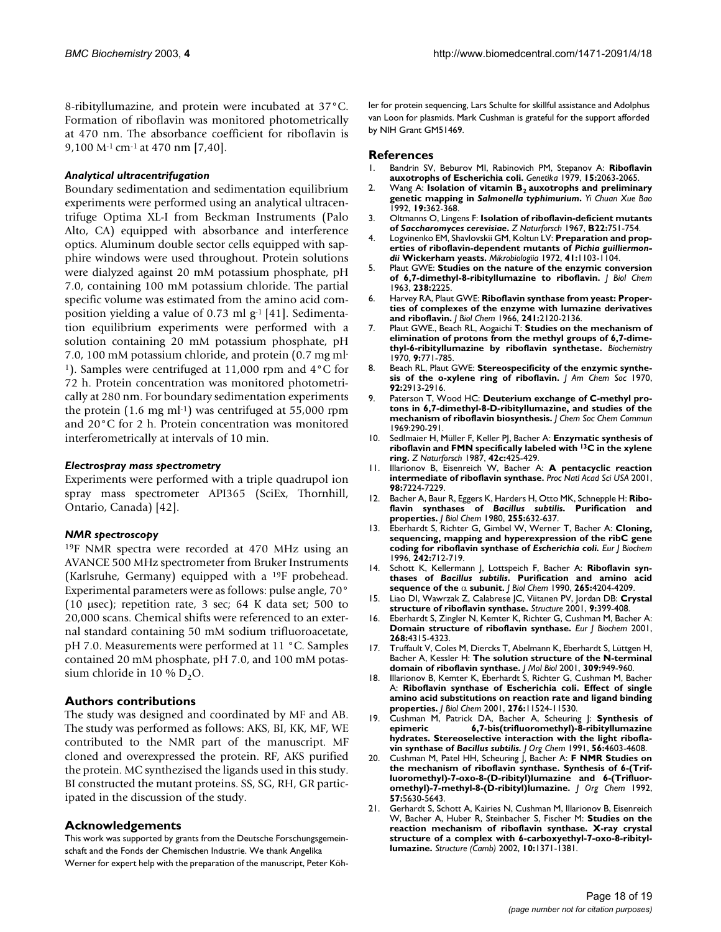8-ribityllumazine, and protein were incubated at 37°C. Formation of riboflavin was monitored photometrically at 470 nm. The absorbance coefficient for riboflavin is 9,100 M-1 cm-1 at 470 nm [7,40].

#### *Analytical ultracentrifugation*

Boundary sedimentation and sedimentation equilibrium experiments were performed using an analytical ultracentrifuge Optima XL-I from Beckman Instruments (Palo Alto, CA) equipped with absorbance and interference optics. Aluminum double sector cells equipped with sapphire windows were used throughout. Protein solutions were dialyzed against 20 mM potassium phosphate, pH 7.0, containing 100 mM potassium chloride. The partial specific volume was estimated from the amino acid composition yielding a value of 0.73 ml g-1 [41]. Sedimentation equilibrium experiments were performed with a solution containing 20 mM potassium phosphate, pH 7.0, 100 mM potassium chloride, and protein (0.7 mg ml-1). Samples were centrifuged at 11,000 rpm and 4°C for 72 h. Protein concentration was monitored photometrically at 280 nm. For boundary sedimentation experiments the protein  $(1.6 \text{ mg ml-1})$  was centrifuged at 55,000 rpm and 20°C for 2 h. Protein concentration was monitored interferometrically at intervals of 10 min.

#### *Electrospray mass spectrometry*

Experiments were performed with a triple quadrupol ion spray mass spectrometer API365 (SciEx, Thornhill, Ontario, Canada) [42].

#### *NMR spectroscopy*

19F NMR spectra were recorded at 470 MHz using an AVANCE 500 MHz spectrometer from Bruker Instruments (Karlsruhe, Germany) equipped with a 19F probehead. Experimental parameters were as follows: pulse angle, 70° (10 µsec); repetition rate, 3 sec; 64 K data set; 500 to 20,000 scans. Chemical shifts were referenced to an external standard containing 50 mM sodium trifluoroacetate, pH 7.0. Measurements were performed at 11 °C. Samples contained 20 mM phosphate, pH 7.0, and 100 mM potassium chloride in 10 %  $D_2O$ .

#### **Authors contributions**

The study was designed and coordinated by MF and AB. The study was performed as follows: AKS, BI, KK, MF, WE contributed to the NMR part of the manuscript. MF cloned and overexpressed the protein. RF, AKS purified the protein. MC synthezised the ligands used in this study. BI constructed the mutant proteins. SS, SG, RH, GR participated in the discussion of the study.

#### **Acknowledgements**

This work was supported by grants from the Deutsche Forschungsgemeinschaft and the Fonds der Chemischen Industrie. We thank Angelika Werner for expert help with the preparation of the manuscript, Peter Köhler for protein sequencing, Lars Schulte for skillful assistance and Adolphus van Loon for plasmids. Mark Cushman is grateful for the support afforded by NIH Grant GM51469.

#### **References**

- 1. Bandrin SV, Beburov MI, Rabinovich PM, Stepanov A: **[Riboflavin](http://www.ncbi.nlm.nih.gov/entrez/query.fcgi?cmd=Retrieve&db=PubMed&dopt=Abstract&list_uids=116904) [auxotrophs of Escherichia coli.](http://www.ncbi.nlm.nih.gov/entrez/query.fcgi?cmd=Retrieve&db=PubMed&dopt=Abstract&list_uids=116904)** *Genetika* 1979, **15:**2063-2065.
- 2. Wang A: **Isolation of vitamin B<sub>2</sub> auxotrophs and preliminary genetic mapping in** *Salmonella typhimurium***[.](http://www.ncbi.nlm.nih.gov/entrez/query.fcgi?cmd=Retrieve&db=PubMed&dopt=Abstract&list_uids=1466913)** *Yi Chuan Xue Bao* 1992, **19:**362-368.
- 3. Oltmanns O, Lingens F: **Isolation of riboflavin-deficient mutants of** *Saccharomyces cerevisiae***.** *Z Naturforsch* 1967, **B22:**751-754.
- <span id="page-17-0"></span>4. Logvinenko EM, Shavlovskii GM, Koltun LV: **Preparation and properties of riboflavin-dependent mutants of** *Pichia guilliermondii* **[Wickerham yeasts.](http://www.ncbi.nlm.nih.gov/entrez/query.fcgi?cmd=Retrieve&db=PubMed&dopt=Abstract&list_uids=4657965)** *Mikrobiologiia* 1972, **41:**1103-1104.
- 5. Plaut GWE: **Studies on the nature of the enzymic conversion of 6,7-dimethyl-8-ribityllumazine to riboflavin.** *J Biol Chem* 1963, **238:**2225.
- 6. Harvey RA, Plaut GWE: **[Riboflavin synthase from yeast: Proper](http://www.ncbi.nlm.nih.gov/entrez/query.fcgi?cmd=Retrieve&db=PubMed&dopt=Abstract&list_uids=5946633)[ties of complexes of the enzyme with lumazine derivatives](http://www.ncbi.nlm.nih.gov/entrez/query.fcgi?cmd=Retrieve&db=PubMed&dopt=Abstract&list_uids=5946633) [and riboflavin.](http://www.ncbi.nlm.nih.gov/entrez/query.fcgi?cmd=Retrieve&db=PubMed&dopt=Abstract&list_uids=5946633)** *J Biol Chem* 1966, **241:**2120-2136.
- 7. Plaut GWE., Beach RL, Aogaichi T: **[Studies on the mechanism of](http://www.ncbi.nlm.nih.gov/entrez/query.fcgi?cmd=Retrieve&db=PubMed&dopt=Abstract&list_uids=5417397) [elimination of protons from the methyl groups of 6,7-dime](http://www.ncbi.nlm.nih.gov/entrez/query.fcgi?cmd=Retrieve&db=PubMed&dopt=Abstract&list_uids=5417397)[thyl-6-ribityllumazine by riboflavin synthetase.](http://www.ncbi.nlm.nih.gov/entrez/query.fcgi?cmd=Retrieve&db=PubMed&dopt=Abstract&list_uids=5417397)** *Biochemistry* 1970, **9:**771-785.
- 8. Beach RL, Plaut GWE: **[Stereospecificity of the enzymic synthe](http://www.ncbi.nlm.nih.gov/entrez/query.fcgi?cmd=Retrieve&db=PubMed&dopt=Abstract&list_uids=5439976)[sis of the o-xylene ring of riboflavin.](http://www.ncbi.nlm.nih.gov/entrez/query.fcgi?cmd=Retrieve&db=PubMed&dopt=Abstract&list_uids=5439976)** *J Am Chem Soc* 1970, **92:**2913-2916.
- 9. Paterson T, Wood HC: **Deuterium exchange of C-methyl protons in 6,7-dimethyl-8-D-ribityllumazine, and studies of the mechanism of riboflavin biosynthesis.** *J Chem Soc Chem Commun* 1969:290-291.
- 10. Sedlmaier H, Müller F, Keller PJ, Bacher A: **Enzymatic synthesis of riboflavin and FMN specifically labeled with 13C in the xylene ring.** *Z Naturforsch* 1987, **42c:**425-429.
- 11. Illarionov B, Eisenreich W, Bacher A: **[A pentacyclic reaction](http://www.ncbi.nlm.nih.gov/entrez/query.fcgi?cmd=Retrieve&db=PubMed&dopt=Abstract&list_uids=34650) [intermediate of riboflavin synthase](http://www.ncbi.nlm.nih.gov/entrez/query.fcgi?cmd=Retrieve&db=PubMed&dopt=Abstract&list_uids=34650)[.](http://www.ncbi.nlm.nih.gov/entrez/query.fcgi?cmd=Retrieve&db=PubMed&dopt=Abstract&list_uids=10.1073/pnas.131610698)** *Proc Natl Acad Sci USA* 2001, **98:**7224-7229.
- <span id="page-17-1"></span>12. Bacher A, Baur R, Eggers K, Harders H, Otto MK, Schnepple H: **Riboflavin synthases of** *Bacillus subtilis***[. Purification and](http://www.ncbi.nlm.nih.gov/entrez/query.fcgi?cmd=Retrieve&db=PubMed&dopt=Abstract&list_uids=6766130) [properties.](http://www.ncbi.nlm.nih.gov/entrez/query.fcgi?cmd=Retrieve&db=PubMed&dopt=Abstract&list_uids=6766130)** *J Biol Chem* 1980, **255:**632-637.
- 13. Eberhardt S, Richter G, Gimbel W, Werner T, Bacher A: **Cloning, sequencing, mapping and hyperexpression of the ribC gene coding for riboflavin synthase of** *Escherichia coli. Eur J Biochem* 1996, **242:**712-719.
- <span id="page-17-2"></span>14. Schott K, Kellermann J, Lottspeich F, Bacher A: **Riboflavin synthases of** *Bacillus subtilis***. Purification and amino acid sequence of the** α **[subunit.](http://www.ncbi.nlm.nih.gov/entrez/query.fcgi?cmd=Retrieve&db=PubMed&dopt=Abstract&list_uids=2106516)** *J Biol Chem* 1990, **265:**4204-4209.
- 15. Liao DI, Wawrzak Z, Calabrese JC, Viitanen PV, Jordan DB: **[Crystal](http://www.ncbi.nlm.nih.gov/entrez/query.fcgi?cmd=Retrieve&db=PubMed&dopt=Abstract&list_uids=10.1016/S0969-2126(01)00600-1) [structure of riboflavin synthase](http://www.ncbi.nlm.nih.gov/entrez/query.fcgi?cmd=Retrieve&db=PubMed&dopt=Abstract&list_uids=10.1016/S0969-2126(01)00600-1)[.](http://www.ncbi.nlm.nih.gov/entrez/query.fcgi?cmd=Retrieve&db=PubMed&dopt=Abstract&list_uids=11377200)** *Structure* 2001, **9:**399-408.
- 16. Eberhardt S, Zingler N, Kemter K, Richter G, Cushman M, Bacher A: **[Domain structure of riboflavin synthase](http://www.ncbi.nlm.nih.gov/entrez/query.fcgi?cmd=Retrieve&db=PubMed&dopt=Abstract&list_uids=10.1046/j.1432-1327.2001.02351.x)[.](http://www.ncbi.nlm.nih.gov/entrez/query.fcgi?cmd=Retrieve&db=PubMed&dopt=Abstract&list_uids=11488927)** *Eur J Biochem* 2001, **268:**4315-4323.
- 17. Truffault V, Coles M, Diercks T, Abelmann K, Eberhardt S, Lüttgen H, Bacher A, Kessler H: **[The solution structure of the N-terminal](http://www.ncbi.nlm.nih.gov/entrez/query.fcgi?cmd=Retrieve&db=PubMed&dopt=Abstract&list_uids=10.1006/jmbi.2001.4683) [domain of riboflavin synthase](http://www.ncbi.nlm.nih.gov/entrez/query.fcgi?cmd=Retrieve&db=PubMed&dopt=Abstract&list_uids=10.1006/jmbi.2001.4683)[.](http://www.ncbi.nlm.nih.gov/entrez/query.fcgi?cmd=Retrieve&db=PubMed&dopt=Abstract&list_uids=11399071)** *J Mol Biol* 2001, **309:**949-960.
- 18. Illarionov B, Kemter K, Eberhardt S, Richter G, Cushman M, Bacher A: **[Riboflavin synthase of Escherichia coli. Effect of single](http://www.ncbi.nlm.nih.gov/entrez/query.fcgi?cmd=Retrieve&db=PubMed&dopt=Abstract&list_uids=10.1074/jbc.M008931200) [amino acid substitutions on reaction rate and ligand binding](http://www.ncbi.nlm.nih.gov/entrez/query.fcgi?cmd=Retrieve&db=PubMed&dopt=Abstract&list_uids=10.1074/jbc.M008931200) [properties](http://www.ncbi.nlm.nih.gov/entrez/query.fcgi?cmd=Retrieve&db=PubMed&dopt=Abstract&list_uids=10.1074/jbc.M008931200)[.](http://www.ncbi.nlm.nih.gov/entrez/query.fcgi?cmd=Retrieve&db=PubMed&dopt=Abstract&list_uids=11278450)** *J Biol Chem* 2001, **276:**11524-11530.
- 19. Cushman M, Patrick DA, Bacher A, Scheuring J: **Synthesis of epimeric 6,7-bis(trifluoromethyl)-8-ribityllumazine hydrates. Stereoselective interaction with the light riboflavin synthase of** *Bacillus subtilis. J Org Chem* 1991, **56:**4603-4608.
- 20. Cushman M, Patel HH, Scheuring J, Bacher A: **F NMR Studies on the mechanism of riboflavin synthase. Synthesis of 6-(Trifluoromethyl)-7-oxo-8-(D-ribityl)lumazine and 6-(Trifluoromethyl)-7-methyl-8-(D-ribityl)lumazine.** *J Org Chem* 1992, **57:**5630-5643.
- 21. Gerhardt S, Schott A, Kairies N, Cushman M, Illarionov B, Eisenreich W, Bacher A, Huber R, Steinbacher S, Fischer M: **[Studies on the](http://www.ncbi.nlm.nih.gov/entrez/query.fcgi?cmd=Retrieve&db=PubMed&dopt=Abstract&list_uids=10.1016/S0969-2126(02)00864-X) [reaction mechanism of riboflavin synthase. X-ray crystal](http://www.ncbi.nlm.nih.gov/entrez/query.fcgi?cmd=Retrieve&db=PubMed&dopt=Abstract&list_uids=10.1016/S0969-2126(02)00864-X) structure of a complex with 6-carboxyethyl-7-oxo-8-ribityl[lumazine](http://www.ncbi.nlm.nih.gov/entrez/query.fcgi?cmd=Retrieve&db=PubMed&dopt=Abstract&list_uids=10.1016/S0969-2126(02)00864-X)[.](http://www.ncbi.nlm.nih.gov/entrez/query.fcgi?cmd=Retrieve&db=PubMed&dopt=Abstract&list_uids=12377123)** *Structure (Camb)* 2002, **10:**1371-1381.